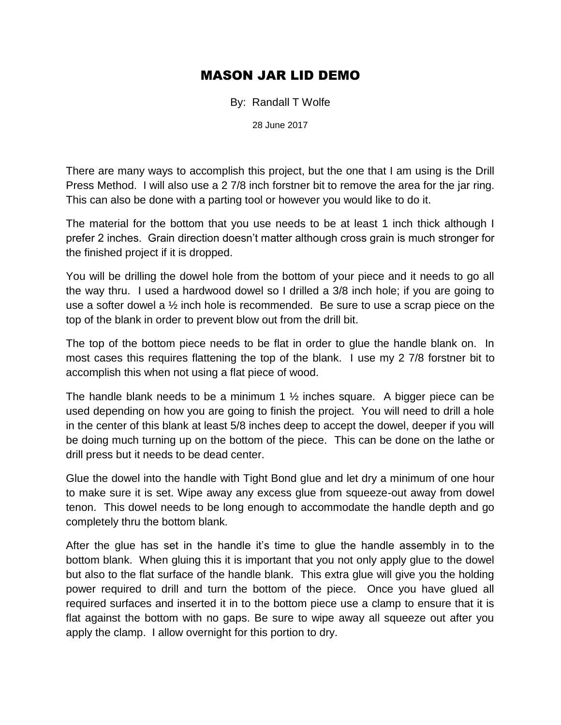## MASON JAR LID DEMO

By: Randall T Wolfe

28 June 2017

There are many ways to accomplish this project, but the one that I am using is the Drill Press Method. I will also use a 2 7/8 inch forstner bit to remove the area for the jar ring. This can also be done with a parting tool or however you would like to do it.

The material for the bottom that you use needs to be at least 1 inch thick although I prefer 2 inches. Grain direction doesn't matter although cross grain is much stronger for the finished project if it is dropped.

You will be drilling the dowel hole from the bottom of your piece and it needs to go all the way thru. I used a hardwood dowel so I drilled a 3/8 inch hole; if you are going to use a softer dowel a ½ inch hole is recommended. Be sure to use a scrap piece on the top of the blank in order to prevent blow out from the drill bit.

The top of the bottom piece needs to be flat in order to glue the handle blank on. In most cases this requires flattening the top of the blank. I use my 2 7/8 forstner bit to accomplish this when not using a flat piece of wood.

The handle blank needs to be a minimum 1  $\frac{1}{2}$  inches square. A bigger piece can be used depending on how you are going to finish the project. You will need to drill a hole in the center of this blank at least 5/8 inches deep to accept the dowel, deeper if you will be doing much turning up on the bottom of the piece. This can be done on the lathe or drill press but it needs to be dead center.

Glue the dowel into the handle with Tight Bond glue and let dry a minimum of one hour to make sure it is set. Wipe away any excess glue from squeeze-out away from dowel tenon. This dowel needs to be long enough to accommodate the handle depth and go completely thru the bottom blank.

After the glue has set in the handle it's time to glue the handle assembly in to the bottom blank. When gluing this it is important that you not only apply glue to the dowel but also to the flat surface of the handle blank. This extra glue will give you the holding power required to drill and turn the bottom of the piece. Once you have glued all required surfaces and inserted it in to the bottom piece use a clamp to ensure that it is flat against the bottom with no gaps. Be sure to wipe away all squeeze out after you apply the clamp. I allow overnight for this portion to dry.